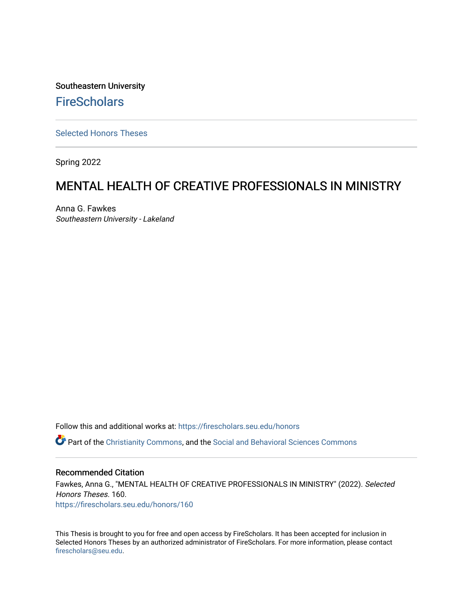Southeastern University **FireScholars** 

[Selected Honors Theses](https://firescholars.seu.edu/honors)

Spring 2022

# MENTAL HEALTH OF CREATIVE PROFESSIONALS IN MINISTRY

Anna G. Fawkes Southeastern University - Lakeland

Follow this and additional works at: [https://firescholars.seu.edu/honors](https://firescholars.seu.edu/honors?utm_source=firescholars.seu.edu%2Fhonors%2F160&utm_medium=PDF&utm_campaign=PDFCoverPages)

Part of the [Christianity Commons,](https://network.bepress.com/hgg/discipline/1181?utm_source=firescholars.seu.edu%2Fhonors%2F160&utm_medium=PDF&utm_campaign=PDFCoverPages) and the [Social and Behavioral Sciences Commons](https://network.bepress.com/hgg/discipline/316?utm_source=firescholars.seu.edu%2Fhonors%2F160&utm_medium=PDF&utm_campaign=PDFCoverPages)

#### Recommended Citation

Fawkes, Anna G., "MENTAL HEALTH OF CREATIVE PROFESSIONALS IN MINISTRY" (2022). Selected Honors Theses. 160. [https://firescholars.seu.edu/honors/160](https://firescholars.seu.edu/honors/160?utm_source=firescholars.seu.edu%2Fhonors%2F160&utm_medium=PDF&utm_campaign=PDFCoverPages)

This Thesis is brought to you for free and open access by FireScholars. It has been accepted for inclusion in Selected Honors Theses by an authorized administrator of FireScholars. For more information, please contact [firescholars@seu.edu.](mailto:firescholars@seu.edu)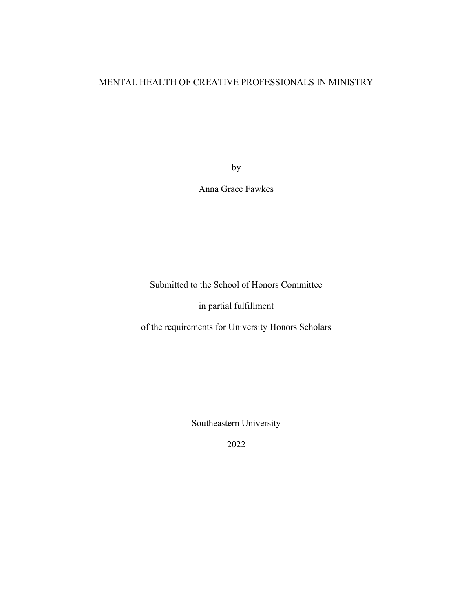# MENTAL HEALTH OF CREATIVE PROFESSIONALS IN MINISTRY

by

Anna Grace Fawkes

Submitted to the School of Honors Committee

in partial fulfillment

of the requirements for University Honors Scholars

Southeastern University

2022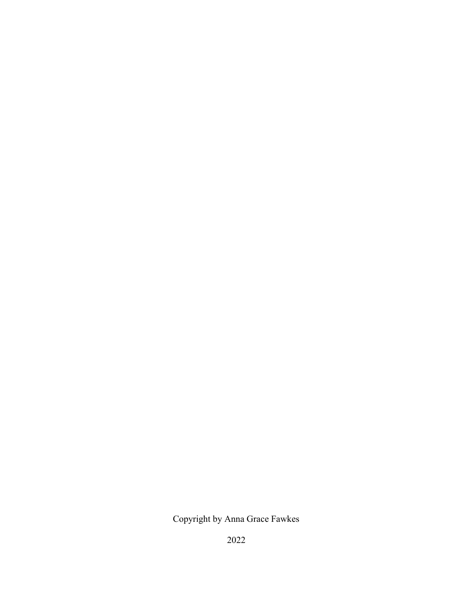Copyright by Anna Grace Fawkes

2022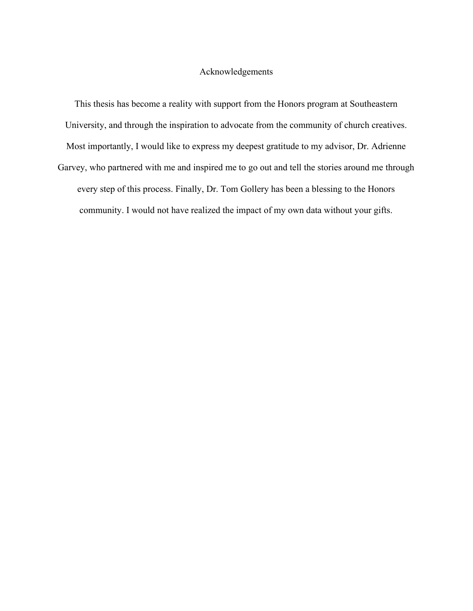#### Acknowledgements

This thesis has become a reality with support from the Honors program at Southeastern University, and through the inspiration to advocate from the community of church creatives. Most importantly, I would like to express my deepest gratitude to my advisor, Dr. Adrienne

Garvey, who partnered with me and inspired me to go out and tell the stories around me through every step of this process. Finally, Dr. Tom Gollery has been a blessing to the Honors community. I would not have realized the impact of my own data without your gifts.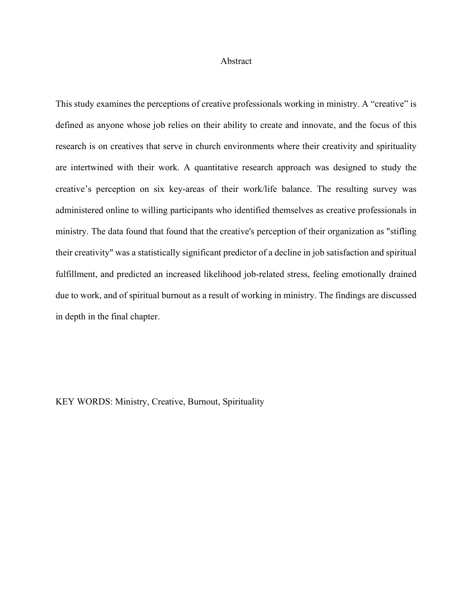#### Abstract

This study examines the perceptions of creative professionals working in ministry. A "creative" is defined as anyone whose job relies on their ability to create and innovate, and the focus of this research is on creatives that serve in church environments where their creativity and spirituality are intertwined with their work. A quantitative research approach was designed to study the creative's perception on six key-areas of their work/life balance. The resulting survey was administered online to willing participants who identified themselves as creative professionals in ministry. The data found that found that the creative's perception of their organization as "stifling their creativity" was a statistically significant predictor of a decline in job satisfaction and spiritual fulfillment, and predicted an increased likelihood job-related stress, feeling emotionally drained due to work, and of spiritual burnout as a result of working in ministry. The findings are discussed in depth in the final chapter.

KEY WORDS: Ministry, Creative, Burnout, Spirituality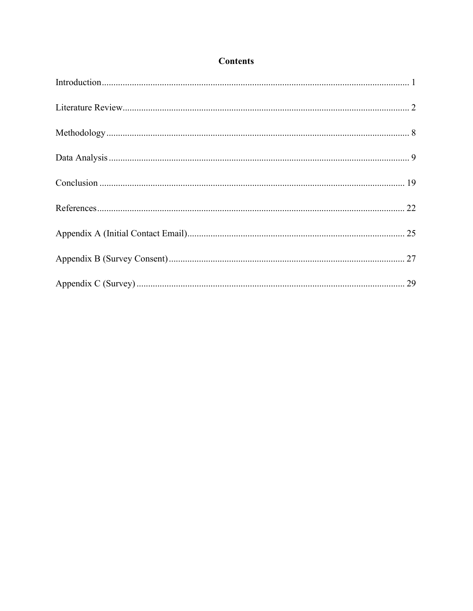# **Contents**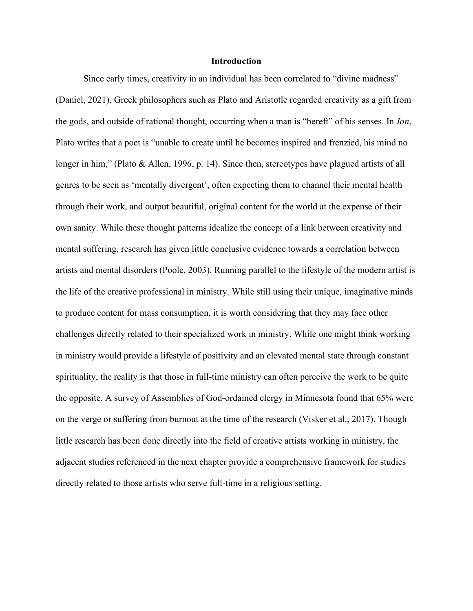### **Introduction**

Since early times, creativity in an individual has been correlated to "divine madness" (Daniel, 2021). Greek philosophers such as Plato and Aristotle regarded creativity as a gift from the gods, and outside of rational thought, occurring when a man is "bereft" of his senses. In Ion, Plato writes that a poet is "unable to create until he becomes inspired and frenzied, his mind no longer in him," (Plato & Allen, 1996, p. 14). Since then, stereotypes have plagued artists of all genres to be seen as 'mentally divergent', often expecting them to channel their mental health through their work, and output beautiful, original content for the world at the expense of their own sanity. While these thought patterns idealize the concept of a link between creativity and mental suffering, research has given little conclusive evidence towards a correlation between artists and mental disorders (Poole, 2003). Running parallel to the lifestyle of the modern artist is the life of the creative professional in ministry. While still using their unique, imaginative minds to produce content for mass consumption, it is worth considering that they may face other challenges directly related to their specialized work in ministry. While one might think working in ministry would provide a lifestyle of positivity and an elevated mental state through constant spirituality, the reality is that those in full-time ministry can often perceive the work to be quite the opposite. A survey of Assemblies of God-ordained clergy in Minnesota found that 65% were on the verge or suffering from burnout at the time of the research (Visker et al., 2017). Though little research has been done directly into the field of creative artists working in ministry, the adjacent studies referenced in the next chapter provide a comprehensive framework for studies directly related to those artists who serve full-time in a religious setting.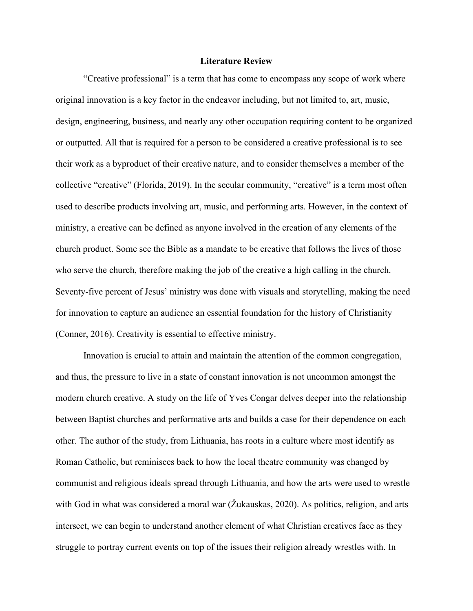### Literature Review

"Creative professional" is a term that has come to encompass any scope of work where original innovation is a key factor in the endeavor including, but not limited to, art, music, design, engineering, business, and nearly any other occupation requiring content to be organized or outputted. All that is required for a person to be considered a creative professional is to see their work as a byproduct of their creative nature, and to consider themselves a member of the collective "creative" (Florida, 2019). In the secular community, "creative" is a term most often used to describe products involving art, music, and performing arts. However, in the context of ministry, a creative can be defined as anyone involved in the creation of any elements of the church product. Some see the Bible as a mandate to be creative that follows the lives of those who serve the church, therefore making the job of the creative a high calling in the church. Seventy-five percent of Jesus' ministry was done with visuals and storytelling, making the need for innovation to capture an audience an essential foundation for the history of Christianity (Conner, 2016). Creativity is essential to effective ministry.

Innovation is crucial to attain and maintain the attention of the common congregation, and thus, the pressure to live in a state of constant innovation is not uncommon amongst the modern church creative. A study on the life of Yves Congar delves deeper into the relationship between Baptist churches and performative arts and builds a case for their dependence on each other. The author of the study, from Lithuania, has roots in a culture where most identify as Roman Catholic, but reminisces back to how the local theatre community was changed by communist and religious ideals spread through Lithuania, and how the arts were used to wrestle with God in what was considered a moral war (Žukauskas, 2020). As politics, religion, and arts intersect, we can begin to understand another element of what Christian creatives face as they struggle to portray current events on top of the issues their religion already wrestles with. In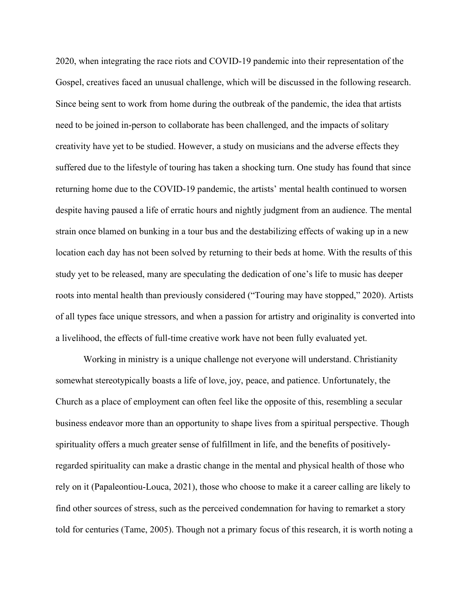2020, when integrating the race riots and COVID-19 pandemic into their representation of the Gospel, creatives faced an unusual challenge, which will be discussed in the following research. Since being sent to work from home during the outbreak of the pandemic, the idea that artists need to be joined in-person to collaborate has been challenged, and the impacts of solitary creativity have yet to be studied. However, a study on musicians and the adverse effects they suffered due to the lifestyle of touring has taken a shocking turn. One study has found that since returning home due to the COVID-19 pandemic, the artists' mental health continued to worsen despite having paused a life of erratic hours and nightly judgment from an audience. The mental strain once blamed on bunking in a tour bus and the destabilizing effects of waking up in a new location each day has not been solved by returning to their beds at home. With the results of this study yet to be released, many are speculating the dedication of one's life to music has deeper roots into mental health than previously considered ("Touring may have stopped," 2020). Artists of all types face unique stressors, and when a passion for artistry and originality is converted into a livelihood, the effects of full-time creative work have not been fully evaluated yet.

Working in ministry is a unique challenge not everyone will understand. Christianity somewhat stereotypically boasts a life of love, joy, peace, and patience. Unfortunately, the Church as a place of employment can often feel like the opposite of this, resembling a secular business endeavor more than an opportunity to shape lives from a spiritual perspective. Though spirituality offers a much greater sense of fulfillment in life, and the benefits of positivelyregarded spirituality can make a drastic change in the mental and physical health of those who rely on it (Papaleontiou-Louca, 2021), those who choose to make it a career calling are likely to find other sources of stress, such as the perceived condemnation for having to remarket a story told for centuries (Tame, 2005). Though not a primary focus of this research, it is worth noting a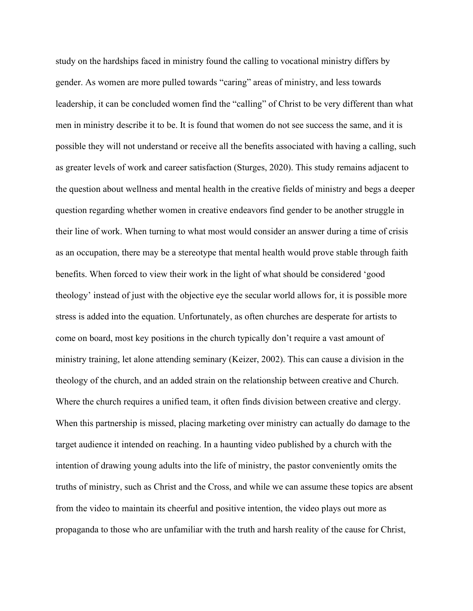study on the hardships faced in ministry found the calling to vocational ministry differs by gender. As women are more pulled towards "caring" areas of ministry, and less towards leadership, it can be concluded women find the "calling" of Christ to be very different than what men in ministry describe it to be. It is found that women do not see success the same, and it is possible they will not understand or receive all the benefits associated with having a calling, such as greater levels of work and career satisfaction (Sturges, 2020). This study remains adjacent to the question about wellness and mental health in the creative fields of ministry and begs a deeper question regarding whether women in creative endeavors find gender to be another struggle in their line of work. When turning to what most would consider an answer during a time of crisis as an occupation, there may be a stereotype that mental health would prove stable through faith benefits. When forced to view their work in the light of what should be considered 'good theology' instead of just with the objective eye the secular world allows for, it is possible more stress is added into the equation. Unfortunately, as often churches are desperate for artists to come on board, most key positions in the church typically don't require a vast amount of ministry training, let alone attending seminary (Keizer, 2002). This can cause a division in the theology of the church, and an added strain on the relationship between creative and Church. Where the church requires a unified team, it often finds division between creative and clergy. When this partnership is missed, placing marketing over ministry can actually do damage to the target audience it intended on reaching. In a haunting video published by a church with the intention of drawing young adults into the life of ministry, the pastor conveniently omits the truths of ministry, such as Christ and the Cross, and while we can assume these topics are absent from the video to maintain its cheerful and positive intention, the video plays out more as propaganda to those who are unfamiliar with the truth and harsh reality of the cause for Christ,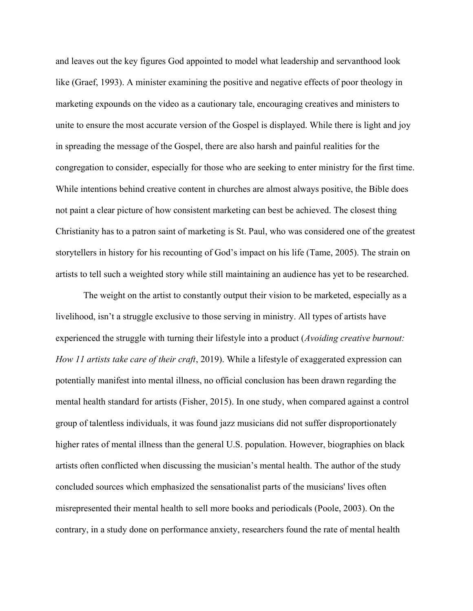and leaves out the key figures God appointed to model what leadership and servanthood look like (Graef, 1993). A minister examining the positive and negative effects of poor theology in marketing expounds on the video as a cautionary tale, encouraging creatives and ministers to unite to ensure the most accurate version of the Gospel is displayed. While there is light and joy in spreading the message of the Gospel, there are also harsh and painful realities for the congregation to consider, especially for those who are seeking to enter ministry for the first time. While intentions behind creative content in churches are almost always positive, the Bible does not paint a clear picture of how consistent marketing can best be achieved. The closest thing Christianity has to a patron saint of marketing is St. Paul, who was considered one of the greatest storytellers in history for his recounting of God's impact on his life (Tame, 2005). The strain on artists to tell such a weighted story while still maintaining an audience has yet to be researched.

The weight on the artist to constantly output their vision to be marketed, especially as a livelihood, isn't a struggle exclusive to those serving in ministry. All types of artists have experienced the struggle with turning their lifestyle into a product (Avoiding creative burnout: How 11 artists take care of their craft, 2019). While a lifestyle of exaggerated expression can potentially manifest into mental illness, no official conclusion has been drawn regarding the mental health standard for artists (Fisher, 2015). In one study, when compared against a control group of talentless individuals, it was found jazz musicians did not suffer disproportionately higher rates of mental illness than the general U.S. population. However, biographies on black artists often conflicted when discussing the musician's mental health. The author of the study concluded sources which emphasized the sensationalist parts of the musicians' lives often misrepresented their mental health to sell more books and periodicals (Poole, 2003). On the contrary, in a study done on performance anxiety, researchers found the rate of mental health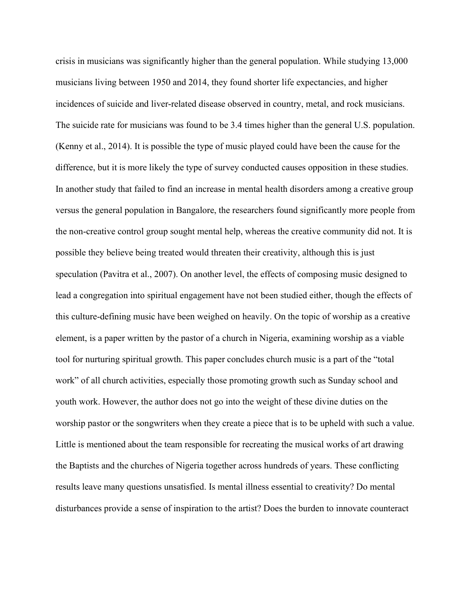crisis in musicians was significantly higher than the general population. While studying 13,000 musicians living between 1950 and 2014, they found shorter life expectancies, and higher incidences of suicide and liver-related disease observed in country, metal, and rock musicians. The suicide rate for musicians was found to be 3.4 times higher than the general U.S. population. (Kenny et al., 2014). It is possible the type of music played could have been the cause for the difference, but it is more likely the type of survey conducted causes opposition in these studies. In another study that failed to find an increase in mental health disorders among a creative group versus the general population in Bangalore, the researchers found significantly more people from the non-creative control group sought mental help, whereas the creative community did not. It is possible they believe being treated would threaten their creativity, although this is just speculation (Pavitra et al., 2007). On another level, the effects of composing music designed to lead a congregation into spiritual engagement have not been studied either, though the effects of this culture-defining music have been weighed on heavily. On the topic of worship as a creative element, is a paper written by the pastor of a church in Nigeria, examining worship as a viable tool for nurturing spiritual growth. This paper concludes church music is a part of the "total work" of all church activities, especially those promoting growth such as Sunday school and youth work. However, the author does not go into the weight of these divine duties on the worship pastor or the songwriters when they create a piece that is to be upheld with such a value. Little is mentioned about the team responsible for recreating the musical works of art drawing the Baptists and the churches of Nigeria together across hundreds of years. These conflicting results leave many questions unsatisfied. Is mental illness essential to creativity? Do mental disturbances provide a sense of inspiration to the artist? Does the burden to innovate counteract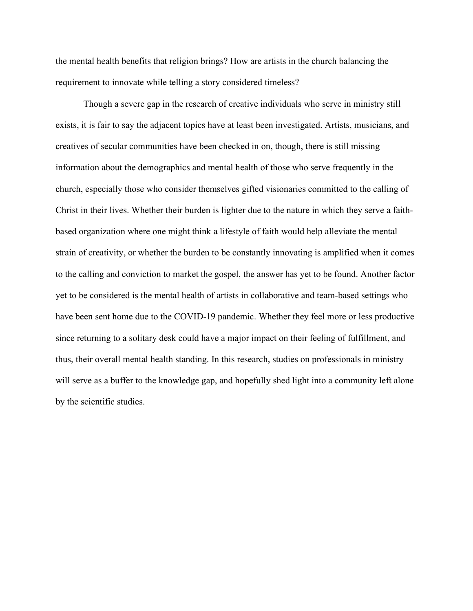the mental health benefits that religion brings? How are artists in the church balancing the requirement to innovate while telling a story considered timeless?

Though a severe gap in the research of creative individuals who serve in ministry still exists, it is fair to say the adjacent topics have at least been investigated. Artists, musicians, and creatives of secular communities have been checked in on, though, there is still missing information about the demographics and mental health of those who serve frequently in the church, especially those who consider themselves gifted visionaries committed to the calling of Christ in their lives. Whether their burden is lighter due to the nature in which they serve a faithbased organization where one might think a lifestyle of faith would help alleviate the mental strain of creativity, or whether the burden to be constantly innovating is amplified when it comes to the calling and conviction to market the gospel, the answer has yet to be found. Another factor yet to be considered is the mental health of artists in collaborative and team-based settings who have been sent home due to the COVID-19 pandemic. Whether they feel more or less productive since returning to a solitary desk could have a major impact on their feeling of fulfillment, and thus, their overall mental health standing. In this research, studies on professionals in ministry will serve as a buffer to the knowledge gap, and hopefully shed light into a community left alone by the scientific studies.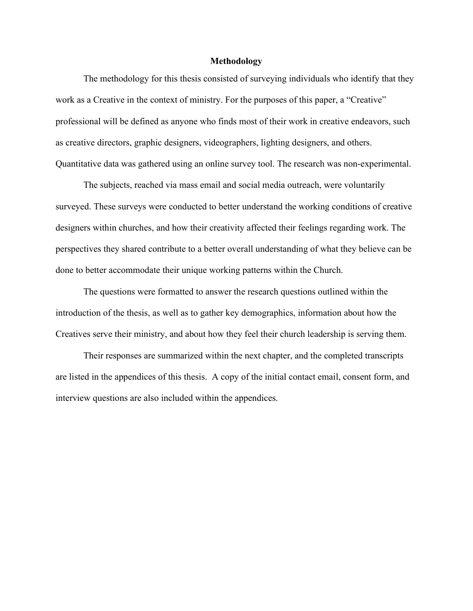#### Methodology

The methodology for this thesis consisted of surveying individuals who identify that they work as a Creative in the context of ministry. For the purposes of this paper, a "Creative" professional will be defined as anyone who finds most of their work in creative endeavors, such as creative directors, graphic designers, videographers, lighting designers, and others. Quantitative data was gathered using an online survey tool. The research was non-experimental.

The subjects, reached via mass email and social media outreach, were voluntarily surveyed. These surveys were conducted to better understand the working conditions of creative designers within churches, and how their creativity affected their feelings regarding work. The perspectives they shared contribute to a better overall understanding of what they believe can be done to better accommodate their unique working patterns within the Church.

The questions were formatted to answer the research questions outlined within the introduction of the thesis, as well as to gather key demographics, information about how the Creatives serve their ministry, and about how they feel their church leadership is serving them.

Their responses are summarized within the next chapter, and the completed transcripts are listed in the appendices of this thesis. A copy of the initial contact email, consent form, and interview questions are also included within the appendices.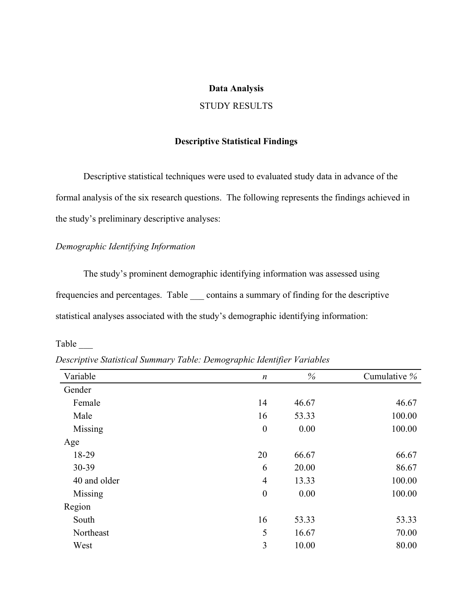#### Data Analysis

### STUDY RESULTS

#### Descriptive Statistical Findings

Descriptive statistical techniques were used to evaluated study data in advance of the formal analysis of the six research questions. The following represents the findings achieved in the study's preliminary descriptive analyses:

### Demographic Identifying Information

 The study's prominent demographic identifying information was assessed using frequencies and percentages. Table \_\_\_ contains a summary of finding for the descriptive statistical analyses associated with the study's demographic identifying information:

Table \_\_\_

Descriptive Statistical Summary Table: Demographic Identifier Variables

| Variable     | $\boldsymbol{n}$ | $\%$  | Cumulative % |
|--------------|------------------|-------|--------------|
| Gender       |                  |       |              |
| Female       | 14               | 46.67 | 46.67        |
| Male         | 16               | 53.33 | 100.00       |
| Missing      | $\boldsymbol{0}$ | 0.00  | 100.00       |
| Age          |                  |       |              |
| 18-29        | 20               | 66.67 | 66.67        |
| 30-39        | 6                | 20.00 | 86.67        |
| 40 and older | $\overline{4}$   | 13.33 | 100.00       |
| Missing      | $\boldsymbol{0}$ | 0.00  | 100.00       |
| Region       |                  |       |              |
| South        | 16               | 53.33 | 53.33        |
| Northeast    | 5                | 16.67 | 70.00        |
| West         | 3                | 10.00 | 80.00        |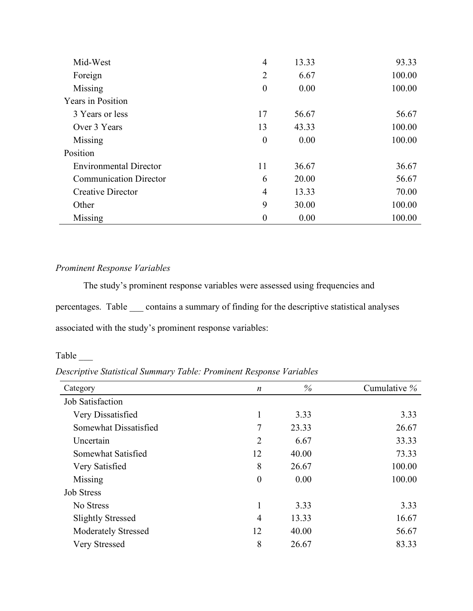| Mid-West                      | $\overline{4}$   | 13.33 | 93.33  |
|-------------------------------|------------------|-------|--------|
| Foreign                       | $\overline{2}$   | 6.67  | 100.00 |
| Missing                       | $\boldsymbol{0}$ | 0.00  | 100.00 |
| <b>Years in Position</b>      |                  |       |        |
| 3 Years or less               | 17               | 56.67 | 56.67  |
| Over 3 Years                  | 13               | 43.33 | 100.00 |
| Missing                       | $\boldsymbol{0}$ | 0.00  | 100.00 |
| Position                      |                  |       |        |
| <b>Environmental Director</b> | 11               | 36.67 | 36.67  |
| <b>Communication Director</b> | 6                | 20.00 | 56.67  |
| <b>Creative Director</b>      | $\overline{4}$   | 13.33 | 70.00  |
| Other                         | 9                | 30.00 | 100.00 |
| Missing                       | $\boldsymbol{0}$ | 0.00  | 100.00 |

# Prominent Response Variables

The study's prominent response variables were assessed using frequencies and percentages. Table \_\_\_ contains a summary of finding for the descriptive statistical analyses associated with the study's prominent response variables:

Table \_\_\_

Descriptive Statistical Summary Table: Prominent Response Variables

| Category                   | $\boldsymbol{n}$ | %     | Cumulative $%$ |
|----------------------------|------------------|-------|----------------|
| Job Satisfaction           |                  |       |                |
| Very Dissatisfied          | 1                | 3.33  | 3.33           |
| Somewhat Dissatisfied      | 7                | 23.33 | 26.67          |
| Uncertain                  | $\overline{2}$   | 6.67  | 33.33          |
| Somewhat Satisfied         | 12               | 40.00 | 73.33          |
| Very Satisfied             | 8                | 26.67 | 100.00         |
| Missing                    | $\overline{0}$   | 0.00  | 100.00         |
| <b>Job Stress</b>          |                  |       |                |
| No Stress                  | 1                | 3.33  | 3.33           |
| <b>Slightly Stressed</b>   | $\overline{4}$   | 13.33 | 16.67          |
| <b>Moderately Stressed</b> | 12               | 40.00 | 56.67          |
| Very Stressed              | 8                | 26.67 | 83.33          |
|                            |                  |       |                |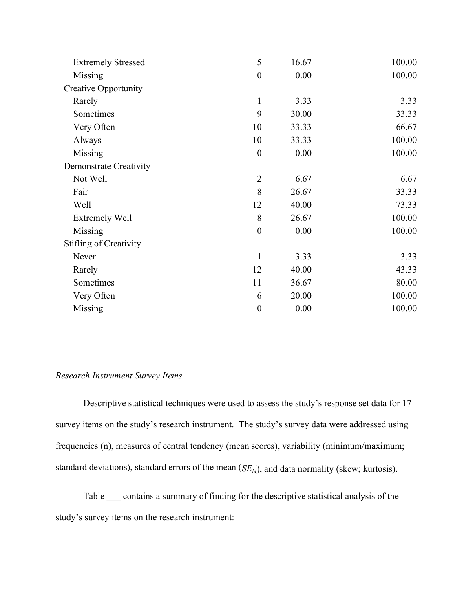| <b>Extremely Stressed</b>     | 5                | 16.67 | 100.00 |
|-------------------------------|------------------|-------|--------|
| Missing                       | $\boldsymbol{0}$ | 0.00  | 100.00 |
| <b>Creative Opportunity</b>   |                  |       |        |
| Rarely                        | $\mathbf{1}$     | 3.33  | 3.33   |
| Sometimes                     | 9                | 30.00 | 33.33  |
| Very Often                    | 10               | 33.33 | 66.67  |
| Always                        | 10               | 33.33 | 100.00 |
| Missing                       | $\boldsymbol{0}$ | 0.00  | 100.00 |
| Demonstrate Creativity        |                  |       |        |
| Not Well                      | $\overline{2}$   | 6.67  | 6.67   |
| Fair                          | 8                | 26.67 | 33.33  |
| Well                          | 12               | 40.00 | 73.33  |
| <b>Extremely Well</b>         | 8                | 26.67 | 100.00 |
| Missing                       | $\boldsymbol{0}$ | 0.00  | 100.00 |
| <b>Stifling of Creativity</b> |                  |       |        |
| Never                         | $\mathbf{1}$     | 3.33  | 3.33   |
| Rarely                        | 12               | 40.00 | 43.33  |
| Sometimes                     | 11               | 36.67 | 80.00  |
| Very Often                    | 6                | 20.00 | 100.00 |
| Missing                       | $\boldsymbol{0}$ | 0.00  | 100.00 |

### Research Instrument Survey Items

Descriptive statistical techniques were used to assess the study's response set data for 17 survey items on the study's research instrument. The study's survey data were addressed using frequencies (n), measures of central tendency (mean scores), variability (minimum/maximum; standard deviations), standard errors of the mean  $(SE_M)$ , and data normality (skew; kurtosis).

Table \_\_\_ contains a summary of finding for the descriptive statistical analysis of the study's survey items on the research instrument: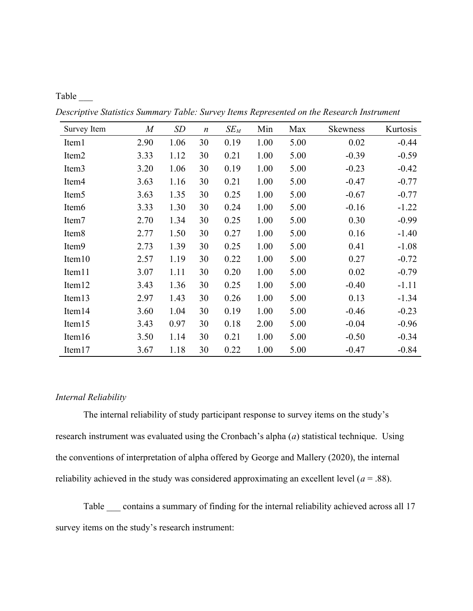| ı |  |
|---|--|
|   |  |

Descriptive Statistics Summary Table: Survey Items Represented on the Research Instrument

| Survey Item        | $\boldsymbol{M}$ | SD   | $\boldsymbol{n}$ | $SE_M$ | Min  | Max  | <b>Skewness</b> | Kurtosis |
|--------------------|------------------|------|------------------|--------|------|------|-----------------|----------|
| Item1              | 2.90             | 1.06 | 30               | 0.19   | 1.00 | 5.00 | 0.02            | $-0.44$  |
| Item <sub>2</sub>  | 3.33             | 1.12 | 30               | 0.21   | 1.00 | 5.00 | $-0.39$         | $-0.59$  |
| Item <sub>3</sub>  | 3.20             | 1.06 | 30               | 0.19   | 1.00 | 5.00 | $-0.23$         | $-0.42$  |
| Item <sub>4</sub>  | 3.63             | 1.16 | 30               | 0.21   | 1.00 | 5.00 | $-0.47$         | $-0.77$  |
| Item <sub>5</sub>  | 3.63             | 1.35 | 30               | 0.25   | 1.00 | 5.00 | $-0.67$         | $-0.77$  |
| Item <sub>6</sub>  | 3.33             | 1.30 | 30               | 0.24   | 1.00 | 5.00 | $-0.16$         | $-1.22$  |
| Item7              | 2.70             | 1.34 | 30               | 0.25   | 1.00 | 5.00 | 0.30            | $-0.99$  |
| Item <sub>8</sub>  | 2.77             | 1.50 | 30               | 0.27   | 1.00 | 5.00 | 0.16            | $-1.40$  |
| Item9              | 2.73             | 1.39 | 30               | 0.25   | 1.00 | 5.00 | 0.41            | $-1.08$  |
| Item10             | 2.57             | 1.19 | 30               | 0.22   | 1.00 | 5.00 | 0.27            | $-0.72$  |
| Item11             | 3.07             | 1.11 | 30               | 0.20   | 1.00 | 5.00 | 0.02            | $-0.79$  |
| Item <sub>12</sub> | 3.43             | 1.36 | 30               | 0.25   | 1.00 | 5.00 | $-0.40$         | $-1.11$  |
| Item13             | 2.97             | 1.43 | 30               | 0.26   | 1.00 | 5.00 | 0.13            | $-1.34$  |
| Item <sub>14</sub> | 3.60             | 1.04 | 30               | 0.19   | 1.00 | 5.00 | $-0.46$         | $-0.23$  |
| Item15             | 3.43             | 0.97 | 30               | 0.18   | 2.00 | 5.00 | $-0.04$         | $-0.96$  |
| Item16             | 3.50             | 1.14 | 30               | 0.21   | 1.00 | 5.00 | $-0.50$         | $-0.34$  |
| Item17             | 3.67             | 1.18 | 30               | 0.22   | 1.00 | 5.00 | $-0.47$         | $-0.84$  |

#### Internal Reliability

 The internal reliability of study participant response to survey items on the study's research instrument was evaluated using the Cronbach's alpha  $(a)$  statistical technique. Using the conventions of interpretation of alpha offered by George and Mallery (2020), the internal reliability achieved in the study was considered approximating an excellent level ( $a = .88$ ).

 Table \_\_\_ contains a summary of finding for the internal reliability achieved across all 17 survey items on the study's research instrument: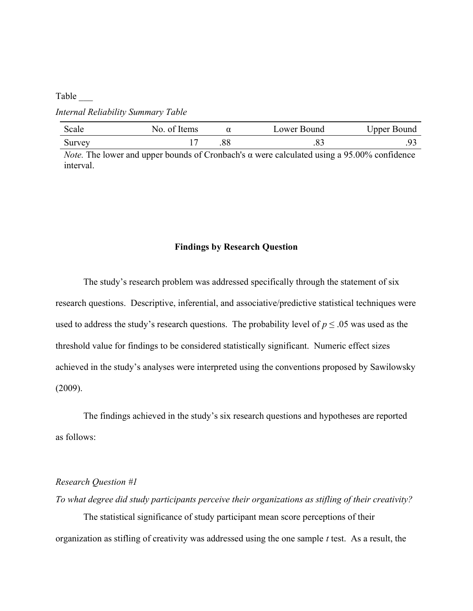#### Table \_\_\_

Internal Reliability Summary Table

| Scale  | No. of Items |     | Lower Bound | Upper Bound |
|--------|--------------|-----|-------------|-------------|
| Survey |              | .00 | .၀.         |             |

*Note.* The lower and upper bounds of Cronbach's  $\alpha$  were calculated using a 95.00% confidence interval.

#### Findings by Research Question

The study's research problem was addressed specifically through the statement of six research questions. Descriptive, inferential, and associative/predictive statistical techniques were used to address the study's research questions. The probability level of  $p \leq 0.05$  was used as the threshold value for findings to be considered statistically significant. Numeric effect sizes achieved in the study's analyses were interpreted using the conventions proposed by Sawilowsky (2009).

 The findings achieved in the study's six research questions and hypotheses are reported as follows:

### Research Question #1

To what degree did study participants perceive their organizations as stifling of their creativity? The statistical significance of study participant mean score perceptions of their organization as stifling of creativity was addressed using the one sample  $t$  test. As a result, the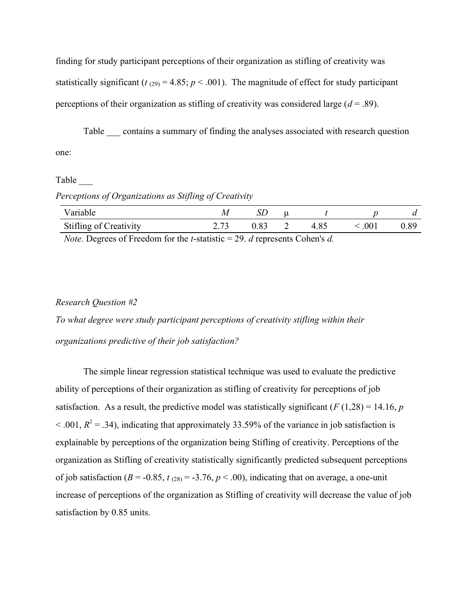finding for study participant perceptions of their organization as stifling of creativity was statistically significant ( $t_{(29)} = 4.85$ ;  $p < .001$ ). The magnitude of effect for study participant perceptions of their organization as stifling of creativity was considered large  $(d = .89)$ .

Table contains a summary of finding the analyses associated with research question one:

#### Table \_\_\_

### Perceptions of Organizations as Stifling of Creativity

| Variable                      | W      | DL. |   |      |                  |          |
|-------------------------------|--------|-----|---|------|------------------|----------|
| <b>Stifling of Creativity</b> | ل ا وڪ |     | ∼ | 4.85 | .00 <sub>1</sub> | $0.89\,$ |

*Note.* Degrees of Freedom for the *t*-statistic = 29. *d* represents Cohen's *d*.

### Research Question #2

To what degree were study participant perceptions of creativity stifling within their organizations predictive of their job satisfaction?

The simple linear regression statistical technique was used to evaluate the predictive ability of perceptions of their organization as stifling of creativity for perceptions of job satisfaction. As a result, the predictive model was statistically significant ( $F(1,28) = 14.16$ , p  $<$  0.01,  $R^2$  = 0.34), indicating that approximately 33.59% of the variance in job satisfaction is explainable by perceptions of the organization being Stifling of creativity. Perceptions of the organization as Stifling of creativity statistically significantly predicted subsequent perceptions of job satisfaction ( $B = -0.85$ ,  $t_{(28)} = -3.76$ ,  $p < .00$ ), indicating that on average, a one-unit increase of perceptions of the organization as Stifling of creativity will decrease the value of job satisfaction by 0.85 units.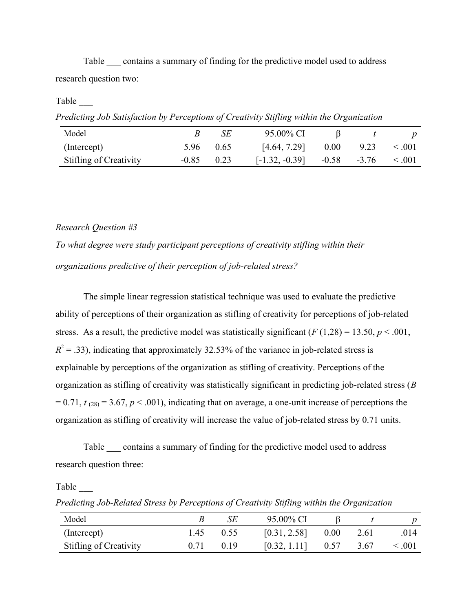Table contains a summary of finding for the predictive model used to address research question two:

### Table \_\_\_

Predicting Job Satisfaction by Perceptions of Creativity Stifling within the Organization

| Model                         |         |      | 95.00% CI        |         |         |         |
|-------------------------------|---------|------|------------------|---------|---------|---------|
| (Intercept)                   | 5.96    | 0.65 | [4.64, 7.29]     | 0.00    | 9.23    | 0.001   |
| <b>Stifling of Creativity</b> | $-0.85$ | 0.23 | $[-1.32, -0.39]$ | $-0.58$ | $-3.76$ | < 0.001 |

#### Research Question #3

To what degree were study participant perceptions of creativity stifling within their organizations predictive of their perception of job-related stress?

The simple linear regression statistical technique was used to evaluate the predictive ability of perceptions of their organization as stifling of creativity for perceptions of job-related stress. As a result, the predictive model was statistically significant  $(F(1,28) = 13.50, p < .001,$  $R^2$  = .33), indicating that approximately 32.53% of the variance in job-related stress is explainable by perceptions of the organization as stifling of creativity. Perceptions of the organization as stifling of creativity was statistically significant in predicting job-related stress (B  $= 0.71$ ,  $t_{(28)} = 3.67$ ,  $p < .001$ ), indicating that on average, a one-unit increase of perceptions the organization as stifling of creativity will increase the value of job-related stress by 0.71 units.

Table contains a summary of finding for the predictive model used to address research question three:

Predicting Job-Related Stress by Perceptions of Creativity Stifling within the Organization

| Model                         |      | SЕ   | 95.00% CI    |      |      |       |
|-------------------------------|------|------|--------------|------|------|-------|
| (Intercept)                   | 1.45 | 0.55 | [0.31, 2.58] | 0.00 | 2.61 | .014  |
| <b>Stifling of Creativity</b> | 0.71 | 0.19 | [0.32, 1.11] | 0.57 | 3.67 | 0.001 |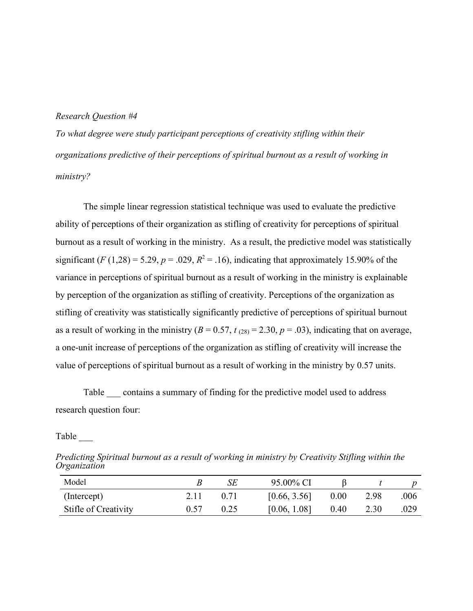#### Research Question #4

To what degree were study participant perceptions of creativity stifling within their organizations predictive of their perceptions of spiritual burnout as a result of working in ministry?

The simple linear regression statistical technique was used to evaluate the predictive ability of perceptions of their organization as stifling of creativity for perceptions of spiritual burnout as a result of working in the ministry. As a result, the predictive model was statistically significant (*F* (1,28) = 5.29, *p* = .029,  $R^2$  = .16), indicating that approximately 15.90% of the variance in perceptions of spiritual burnout as a result of working in the ministry is explainable by perception of the organization as stifling of creativity. Perceptions of the organization as stifling of creativity was statistically significantly predictive of perceptions of spiritual burnout as a result of working in the ministry ( $B = 0.57$ ,  $t_{(28)} = 2.30$ ,  $p = .03$ ), indicating that on average, a one-unit increase of perceptions of the organization as stifling of creativity will increase the value of perceptions of spiritual burnout as a result of working in the ministry by 0.57 units.

Table contains a summary of finding for the predictive model used to address research question four:

Predicting Spiritual burnout as a result of working in ministry by Creativity Stifling within the **Organization** 

| Model                |      | SE | 95.00% CI    |      |      |      |
|----------------------|------|----|--------------|------|------|------|
| (Intercept)          |      |    | [0.66, 3.56] | 0.00 | 2.98 | .006 |
| Stifle of Creativity | 0.57 |    | [0.06, 1.08] | 0.40 | 2.30 | .029 |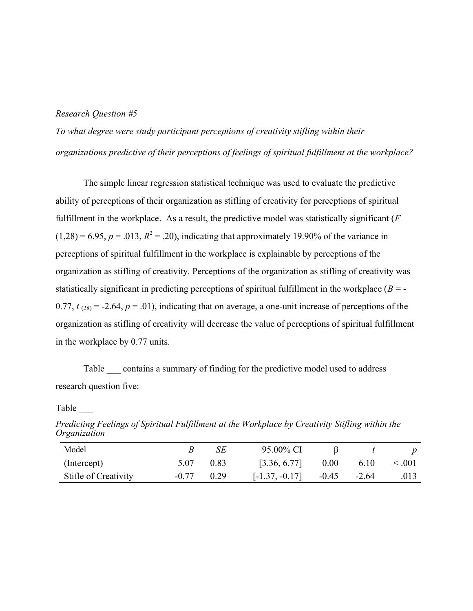#### Research Question #5

To what degree were study participant perceptions of creativity stifling within their organizations predictive of their perceptions of feelings of spiritual fulfillment at the workplace?

The simple linear regression statistical technique was used to evaluate the predictive ability of perceptions of their organization as stifling of creativity for perceptions of spiritual fulfillment in the workplace. As a result, the predictive model was statistically significant  $(F)$  $(1,28) = 6.95, p = .013, R<sup>2</sup> = .20$ , indicating that approximately 19.90% of the variance in perceptions of spiritual fulfillment in the workplace is explainable by perceptions of the organization as stifling of creativity. Perceptions of the organization as stifling of creativity was statistically significant in predicting perceptions of spiritual fulfillment in the workplace  $(B = -1)$ 0.77,  $t_{(28)} = -2.64$ ,  $p = .01$ ), indicating that on average, a one-unit increase of perceptions of the organization as stifling of creativity will decrease the value of perceptions of spiritual fulfillment in the workplace by 0.77 units.

Table contains a summary of finding for the predictive model used to address research question five:

Model B SE 95.00% CI β t p (Intercept)  $5.07 \t 0.83$   $[3.36, 6.77] \t 0.00 \t 6.10 < 0.01$ Stifle of Creativity -0.77 0.29 [-1.37, -0.17] -0.45 -2.64 .013

Predicting Feelings of Spiritual Fulfillment at the Workplace by Creativity Stifling within the Organization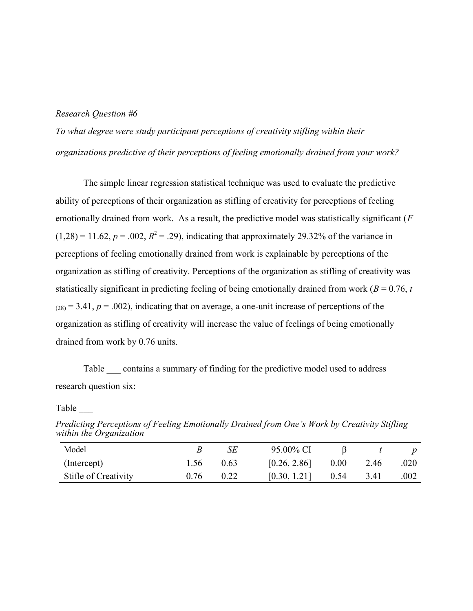#### Research Question #6

To what degree were study participant perceptions of creativity stifling within their organizations predictive of their perceptions of feeling emotionally drained from your work?

The simple linear regression statistical technique was used to evaluate the predictive ability of perceptions of their organization as stifling of creativity for perceptions of feeling emotionally drained from work. As a result, the predictive model was statistically significant  $(F)$  $(1,28) = 11.62, p = .002, R<sup>2</sup> = .29$ , indicating that approximately 29.32% of the variance in perceptions of feeling emotionally drained from work is explainable by perceptions of the organization as stifling of creativity. Perceptions of the organization as stifling of creativity was statistically significant in predicting feeling of being emotionally drained from work ( $B = 0.76$ , t  $(28) = 3.41$ ,  $p = .002$ ), indicating that on average, a one-unit increase of perceptions of the organization as stifling of creativity will increase the value of feelings of being emotionally drained from work by 0.76 units.

Table contains a summary of finding for the predictive model used to address research question six:

| Model                |      | SЕ   | 95.00% CI    |      |      |      |
|----------------------|------|------|--------------|------|------|------|
| (Intercept)          | l.56 | 0.63 | [0.26, 2.86] | 0.00 | 2.46 | .020 |
| Stifle of Creativity | 0.76 |      | [0.30, 1.21] | 0.54 | 3.41 | .002 |

Predicting Perceptions of Feeling Emotionally Drained from One's Work by Creativity Stifling within the Organization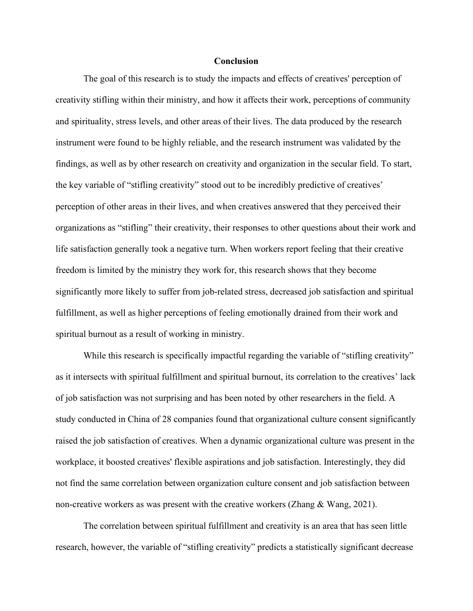#### **Conclusion**

The goal of this research is to study the impacts and effects of creatives' perception of creativity stifling within their ministry, and how it affects their work, perceptions of community and spirituality, stress levels, and other areas of their lives. The data produced by the research instrument were found to be highly reliable, and the research instrument was validated by the findings, as well as by other research on creativity and organization in the secular field. To start, the key variable of "stifling creativity" stood out to be incredibly predictive of creatives' perception of other areas in their lives, and when creatives answered that they perceived their organizations as "stifling" their creativity, their responses to other questions about their work and life satisfaction generally took a negative turn. When workers report feeling that their creative freedom is limited by the ministry they work for, this research shows that they become significantly more likely to suffer from job-related stress, decreased job satisfaction and spiritual fulfillment, as well as higher perceptions of feeling emotionally drained from their work and spiritual burnout as a result of working in ministry.

While this research is specifically impactful regarding the variable of "stifling creativity" as it intersects with spiritual fulfillment and spiritual burnout, its correlation to the creatives' lack of job satisfaction was not surprising and has been noted by other researchers in the field. A study conducted in China of 28 companies found that organizational culture consent significantly raised the job satisfaction of creatives. When a dynamic organizational culture was present in the workplace, it boosted creatives' flexible aspirations and job satisfaction. Interestingly, they did not find the same correlation between organization culture consent and job satisfaction between non-creative workers as was present with the creative workers (Zhang & Wang, 2021).

The correlation between spiritual fulfillment and creativity is an area that has seen little research, however, the variable of "stifling creativity" predicts a statistically significant decrease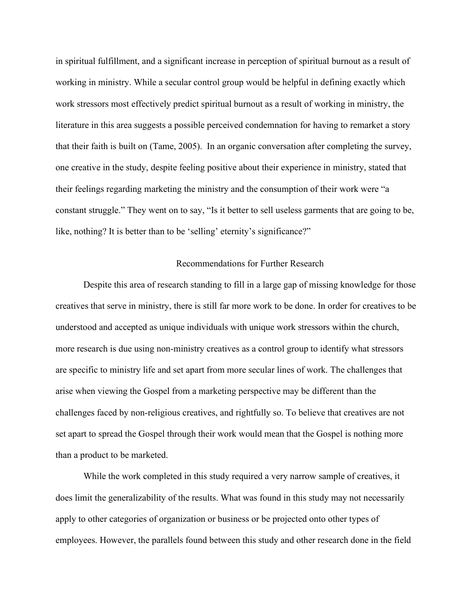in spiritual fulfillment, and a significant increase in perception of spiritual burnout as a result of working in ministry. While a secular control group would be helpful in defining exactly which work stressors most effectively predict spiritual burnout as a result of working in ministry, the literature in this area suggests a possible perceived condemnation for having to remarket a story that their faith is built on (Tame, 2005). In an organic conversation after completing the survey, one creative in the study, despite feeling positive about their experience in ministry, stated that their feelings regarding marketing the ministry and the consumption of their work were "a constant struggle." They went on to say, "Is it better to sell useless garments that are going to be, like, nothing? It is better than to be 'selling' eternity's significance?"

### Recommendations for Further Research

Despite this area of research standing to fill in a large gap of missing knowledge for those creatives that serve in ministry, there is still far more work to be done. In order for creatives to be understood and accepted as unique individuals with unique work stressors within the church, more research is due using non-ministry creatives as a control group to identify what stressors are specific to ministry life and set apart from more secular lines of work. The challenges that arise when viewing the Gospel from a marketing perspective may be different than the challenges faced by non-religious creatives, and rightfully so. To believe that creatives are not set apart to spread the Gospel through their work would mean that the Gospel is nothing more than a product to be marketed.

While the work completed in this study required a very narrow sample of creatives, it does limit the generalizability of the results. What was found in this study may not necessarily apply to other categories of organization or business or be projected onto other types of employees. However, the parallels found between this study and other research done in the field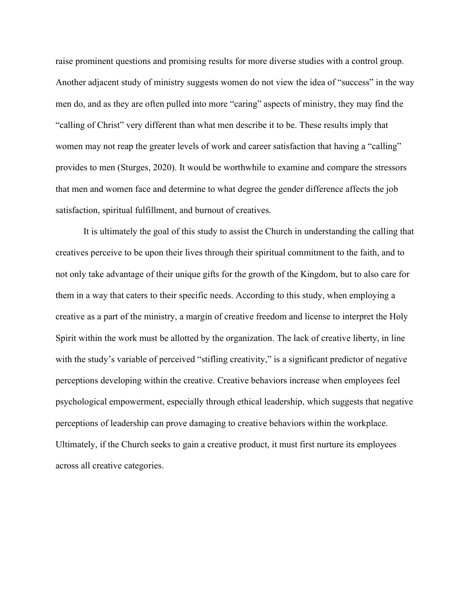raise prominent questions and promising results for more diverse studies with a control group. Another adjacent study of ministry suggests women do not view the idea of "success" in the way men do, and as they are often pulled into more "caring" aspects of ministry, they may find the "calling of Christ" very different than what men describe it to be. These results imply that women may not reap the greater levels of work and career satisfaction that having a "calling" provides to men (Sturges, 2020). It would be worthwhile to examine and compare the stressors that men and women face and determine to what degree the gender difference affects the job satisfaction, spiritual fulfillment, and burnout of creatives.

It is ultimately the goal of this study to assist the Church in understanding the calling that creatives perceive to be upon their lives through their spiritual commitment to the faith, and to not only take advantage of their unique gifts for the growth of the Kingdom, but to also care for them in a way that caters to their specific needs. According to this study, when employing a creative as a part of the ministry, a margin of creative freedom and license to interpret the Holy Spirit within the work must be allotted by the organization. The lack of creative liberty, in line with the study's variable of perceived "stifling creativity," is a significant predictor of negative perceptions developing within the creative. Creative behaviors increase when employees feel psychological empowerment, especially through ethical leadership, which suggests that negative perceptions of leadership can prove damaging to creative behaviors within the workplace. Ultimately, if the Church seeks to gain a creative product, it must first nurture its employees across all creative categories.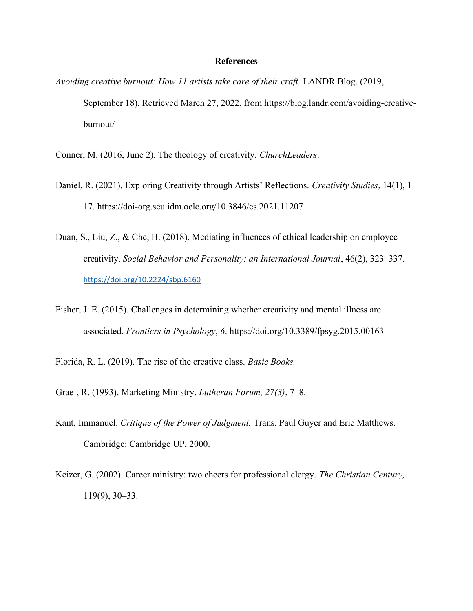#### **References**

Avoiding creative burnout: How 11 artists take care of their craft. LANDR Blog. (2019, September 18). Retrieved March 27, 2022, from https://blog.landr.com/avoiding-creativeburnout/

- Conner, M. (2016, June 2). The theology of creativity. ChurchLeaders.
- Daniel, R. (2021). Exploring Creativity through Artists' Reflections. Creativity Studies, 14(1), 1– 17. https://doi-org.seu.idm.oclc.org/10.3846/cs.2021.11207
- Duan, S., Liu, Z., & Che, H. (2018). Mediating influences of ethical leadership on employee creativity. Social Behavior and Personality: an International Journal, 46(2), 323–337. https://doi.org/10.2224/sbp.6160
- Fisher, J. E. (2015). Challenges in determining whether creativity and mental illness are associated. Frontiers in Psychology, 6. https://doi.org/10.3389/fpsyg.2015.00163
- Florida, R. L. (2019). The rise of the creative class. Basic Books.
- Graef, R. (1993). Marketing Ministry. Lutheran Forum, 27(3), 7–8.
- Kant, Immanuel. Critique of the Power of Judgment. Trans. Paul Guyer and Eric Matthews. Cambridge: Cambridge UP, 2000.
- Keizer, G. (2002). Career ministry: two cheers for professional clergy. The Christian Century, 119(9), 30–33.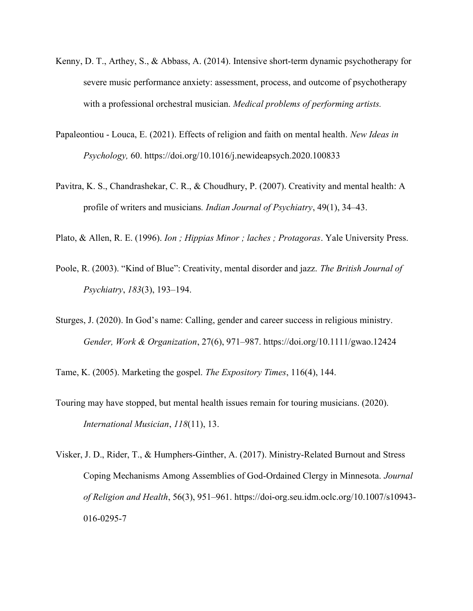- Kenny, D. T., Arthey, S., & Abbass, A. (2014). Intensive short-term dynamic psychotherapy for severe music performance anxiety: assessment, process, and outcome of psychotherapy with a professional orchestral musician. *Medical problems of performing artists*.
- Papaleontiou Louca, E. (2021). Effects of religion and faith on mental health. New Ideas in Psychology, 60. https://doi.org/10.1016/j.newideapsych.2020.100833
- Pavitra, K. S., Chandrashekar, C. R., & Choudhury, P. (2007). Creativity and mental health: A profile of writers and musicians. *Indian Journal of Psychiatry*, 49(1), 34–43.
- Plato, & Allen, R. E. (1996). Ion ; Hippias Minor ; laches ; Protagoras. Yale University Press.
- Poole, R. (2003). "Kind of Blue": Creativity, mental disorder and jazz. The British Journal of Psychiatry, 183(3), 193–194.
- Sturges, J. (2020). In God's name: Calling, gender and career success in religious ministry. Gender, Work & Organization, 27(6), 971–987. https://doi.org/10.1111/gwao.12424

Tame, K. (2005). Marketing the gospel. The Expository Times, 116(4), 144.

- Touring may have stopped, but mental health issues remain for touring musicians. (2020). International Musician, 118(11), 13.
- Visker, J. D., Rider, T., & Humphers-Ginther, A. (2017). Ministry-Related Burnout and Stress Coping Mechanisms Among Assemblies of God-Ordained Clergy in Minnesota. Journal of Religion and Health, 56(3), 951–961. https://doi-org.seu.idm.oclc.org/10.1007/s10943- 016-0295-7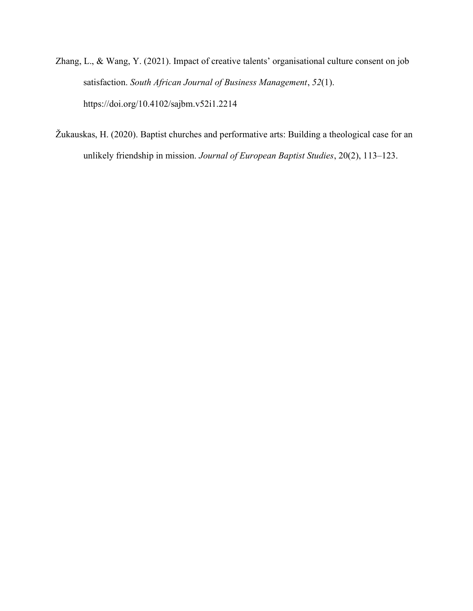- Zhang, L., & Wang, Y. (2021). Impact of creative talents' organisational culture consent on job satisfaction. South African Journal of Business Management, 52(1). https://doi.org/10.4102/sajbm.v52i1.2214
- Žukauskas, H. (2020). Baptist churches and performative arts: Building a theological case for an unlikely friendship in mission. Journal of European Baptist Studies, 20(2), 113–123.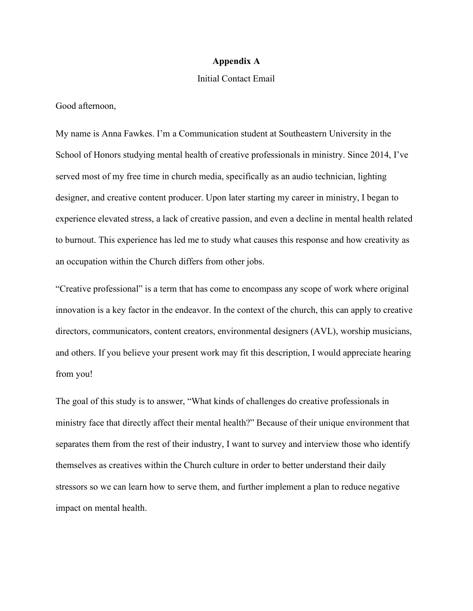#### Appendix A

#### Initial Contact Email

Good afternoon,

My name is Anna Fawkes. I'm a Communication student at Southeastern University in the School of Honors studying mental health of creative professionals in ministry. Since 2014, I've served most of my free time in church media, specifically as an audio technician, lighting designer, and creative content producer. Upon later starting my career in ministry, I began to experience elevated stress, a lack of creative passion, and even a decline in mental health related to burnout. This experience has led me to study what causes this response and how creativity as an occupation within the Church differs from other jobs.

"Creative professional" is a term that has come to encompass any scope of work where original innovation is a key factor in the endeavor. In the context of the church, this can apply to creative directors, communicators, content creators, environmental designers (AVL), worship musicians, and others. If you believe your present work may fit this description, I would appreciate hearing from you!

The goal of this study is to answer, "What kinds of challenges do creative professionals in ministry face that directly affect their mental health?" Because of their unique environment that separates them from the rest of their industry, I want to survey and interview those who identify themselves as creatives within the Church culture in order to better understand their daily stressors so we can learn how to serve them, and further implement a plan to reduce negative impact on mental health.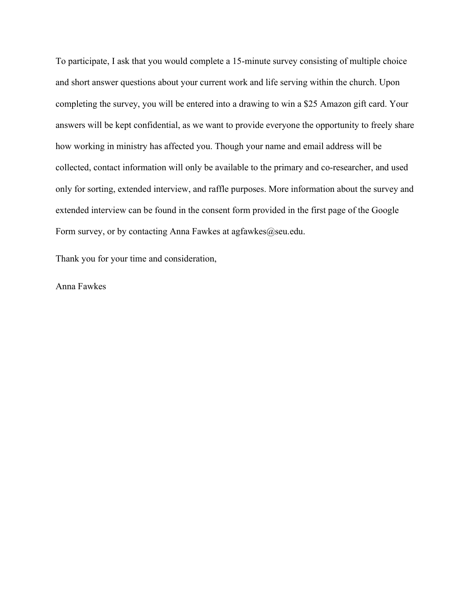To participate, I ask that you would complete a 15-minute survey consisting of multiple choice and short answer questions about your current work and life serving within the church. Upon completing the survey, you will be entered into a drawing to win a \$25 Amazon gift card. Your answers will be kept confidential, as we want to provide everyone the opportunity to freely share how working in ministry has affected you. Though your name and email address will be collected, contact information will only be available to the primary and co-researcher, and used only for sorting, extended interview, and raffle purposes. More information about the survey and extended interview can be found in the consent form provided in the first page of the Google Form survey, or by contacting Anna Fawkes at agfawkes@seu.edu.

Thank you for your time and consideration,

Anna Fawkes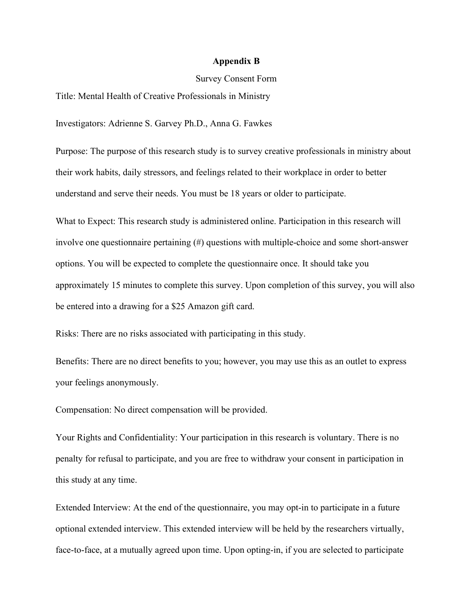#### Appendix B

#### Survey Consent Form

Title: Mental Health of Creative Professionals in Ministry

Investigators: Adrienne S. Garvey Ph.D., Anna G. Fawkes

Purpose: The purpose of this research study is to survey creative professionals in ministry about their work habits, daily stressors, and feelings related to their workplace in order to better understand and serve their needs. You must be 18 years or older to participate.

What to Expect: This research study is administered online. Participation in this research will involve one questionnaire pertaining (#) questions with multiple-choice and some short-answer options. You will be expected to complete the questionnaire once. It should take you approximately 15 minutes to complete this survey. Upon completion of this survey, you will also be entered into a drawing for a \$25 Amazon gift card.

Risks: There are no risks associated with participating in this study.

Benefits: There are no direct benefits to you; however, you may use this as an outlet to express your feelings anonymously.

Compensation: No direct compensation will be provided.

Your Rights and Confidentiality: Your participation in this research is voluntary. There is no penalty for refusal to participate, and you are free to withdraw your consent in participation in this study at any time.

Extended Interview: At the end of the questionnaire, you may opt-in to participate in a future optional extended interview. This extended interview will be held by the researchers virtually, face-to-face, at a mutually agreed upon time. Upon opting-in, if you are selected to participate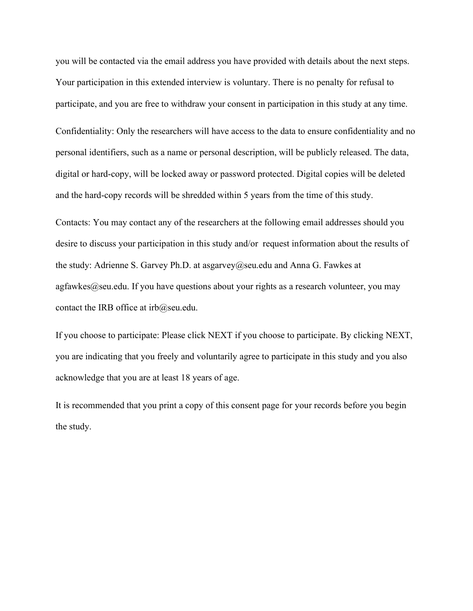you will be contacted via the email address you have provided with details about the next steps. Your participation in this extended interview is voluntary. There is no penalty for refusal to participate, and you are free to withdraw your consent in participation in this study at any time.

Confidentiality: Only the researchers will have access to the data to ensure confidentiality and no personal identifiers, such as a name or personal description, will be publicly released. The data, digital or hard-copy, will be locked away or password protected. Digital copies will be deleted and the hard-copy records will be shredded within 5 years from the time of this study.

Contacts: You may contact any of the researchers at the following email addresses should you desire to discuss your participation in this study and/or request information about the results of the study: Adrienne S. Garvey Ph.D. at asgarvey@seu.edu and Anna G. Fawkes at agfawkes@seu.edu. If you have questions about your rights as a research volunteer, you may contact the IRB office at  $irb@$ seu.edu.

If you choose to participate: Please click NEXT if you choose to participate. By clicking NEXT, you are indicating that you freely and voluntarily agree to participate in this study and you also acknowledge that you are at least 18 years of age.

It is recommended that you print a copy of this consent page for your records before you begin the study.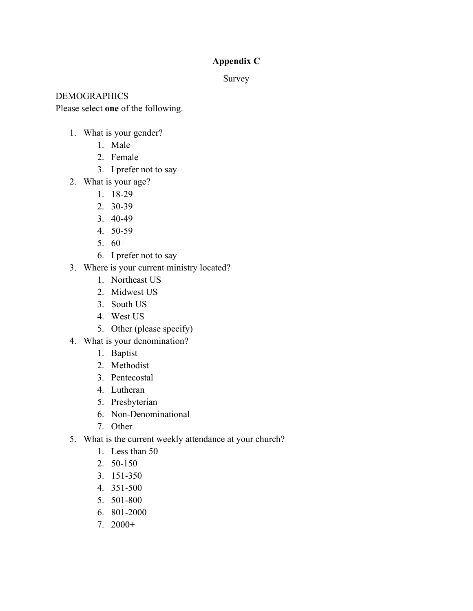# Appendix C

Survey

DEMOGRAPHICS

Please select one of the following.

- 1. What is your gender?
	- 1. Male
	- 2. Female
	- 3. I prefer not to say
- 2. What is your age?
	- 1. 18-29
	- 2. 30-39
	- 3. 40-49
	- 4. 50-59
	- 5. 60+
	- 6. I prefer not to say
- 3. Where is your current ministry located?
	- 1. Northeast US
	- 2. Midwest US
	- 3. South US
	- 4. West US
	- 5. Other (please specify)
- 4. What is your denomination?
	- 1. Baptist
	- 2. Methodist
	- 3. Pentecostal
	- 4. Lutheran
	- 5. Presbyterian
	- 6. Non-Denominational
	- 7. Other
- 5. What is the current weekly attendance at your church?
	- 1. Less than 50
	- 2. 50-150
	- 3. 151-350
	- 4. 351-500
	- 5. 501-800
	- 6. 801-2000
	- 7. 2000+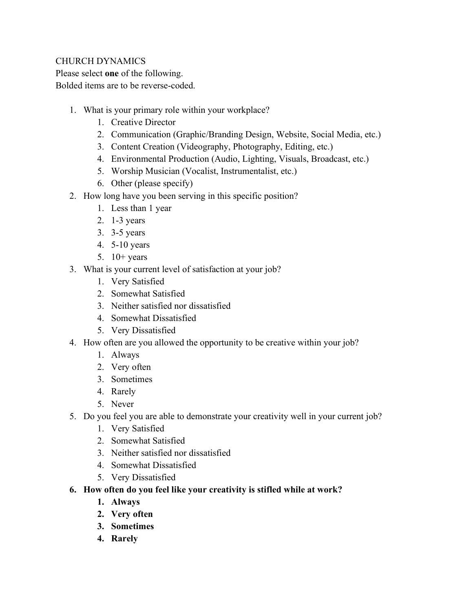# CHURCH DYNAMICS

Please select one of the following. Bolded items are to be reverse-coded.

- 1. What is your primary role within your workplace?
	- 1. Creative Director
	- 2. Communication (Graphic/Branding Design, Website, Social Media, etc.)
	- 3. Content Creation (Videography, Photography, Editing, etc.)
	- 4. Environmental Production (Audio, Lighting, Visuals, Broadcast, etc.)
	- 5. Worship Musician (Vocalist, Instrumentalist, etc.)
	- 6. Other (please specify)
- 2. How long have you been serving in this specific position?
	- 1. Less than 1 year
	- 2. 1-3 years
	- 3. 3-5 years
	- 4. 5-10 years
	- 5.  $10+$  years
- 3. What is your current level of satisfaction at your job?
	- 1. Very Satisfied
	- 2. Somewhat Satisfied
	- 3. Neither satisfied nor dissatisfied
	- 4. Somewhat Dissatisfied
	- 5. Very Dissatisfied
- 4. How often are you allowed the opportunity to be creative within your job?
	- 1. Always
	- 2. Very often
	- 3. Sometimes
	- 4. Rarely
	- 5. Never
- 5. Do you feel you are able to demonstrate your creativity well in your current job?
	- 1. Very Satisfied
	- 2. Somewhat Satisfied
	- 3. Neither satisfied nor dissatisfied
	- 4. Somewhat Dissatisfied
	- 5. Very Dissatisfied
- 6. How often do you feel like your creativity is stifled while at work?
	- 1. Always
	- 2. Very often
	- 3. Sometimes
	- 4. Rarely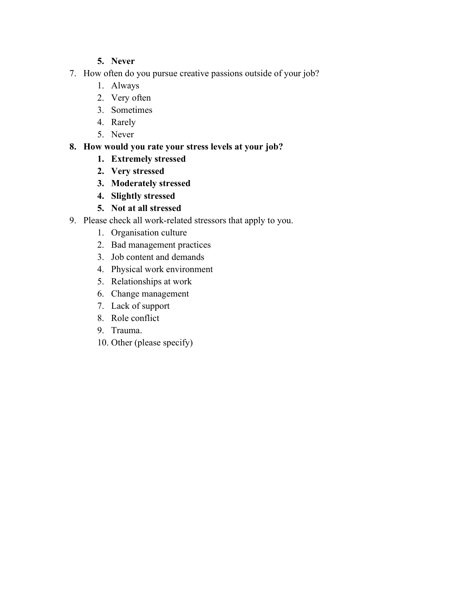# 5. Never

- 7. How often do you pursue creative passions outside of your job?
	- 1. Always
	- 2. Very often
	- 3. Sometimes
	- 4. Rarely
	- 5. Never

# 8. How would you rate your stress levels at your job?

- 1. Extremely stressed
- 2. Very stressed
- 3. Moderately stressed
- 4. Slightly stressed
- 5. Not at all stressed
- 9. Please check all work-related stressors that apply to you.
	- 1. Organisation culture
	- 2. Bad management practices
	- 3. Job content and demands
	- 4. Physical work environment
	- 5. Relationships at work
	- 6. Change management
	- 7. Lack of support
	- 8. Role conflict
	- 9. Trauma.
	- 10. Other (please specify)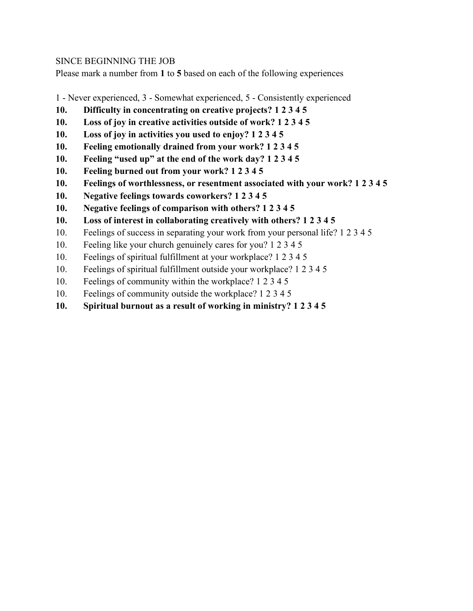### SINCE BEGINNING THE JOB

Please mark a number from 1 to 5 based on each of the following experiences

- 1 Never experienced, 3 Somewhat experienced, 5 Consistently experienced
- 10. Difficulty in concentrating on creative projects? 1 2 3 4 5
- 10. Loss of joy in creative activities outside of work? 1 2 3 4 5
- 10. Loss of joy in activities you used to enjoy? 1 2 3 4 5
- 10. Feeling emotionally drained from your work? 1 2 3 4 5
- 10. Feeling "used up" at the end of the work day? 1 2 3 4 5
- 10. Feeling burned out from your work? 1 2 3 4 5
- 10. Feelings of worthlessness, or resentment associated with your work? 1 2 3 4 5
- 10. Negative feelings towards coworkers? 1 2 3 4 5
- 10. Negative feelings of comparison with others? 1 2 3 4 5
- 10. Loss of interest in collaborating creatively with others? 1 2 3 4 5
- 10. Feelings of success in separating your work from your personal life? 1 2 3 4 5
- 10. Feeling like your church genuinely cares for you? 1 2 3 4 5
- 10. Feelings of spiritual fulfillment at your workplace? 1 2 3 4 5
- 10. Feelings of spiritual fulfillment outside your workplace? 1 2 3 4 5
- 10. Feelings of community within the workplace? 1 2 3 4 5
- 10. Feelings of community outside the workplace? 1 2 3 4 5
- 10. Spiritual burnout as a result of working in ministry? 1 2 3 4 5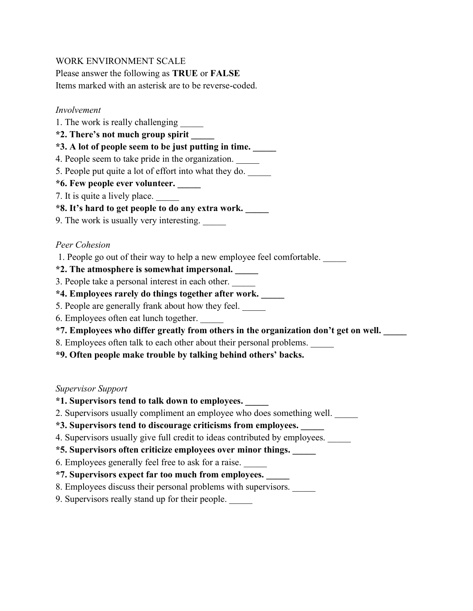# WORK ENVIRONMENT SCALE

Please answer the following as TRUE or FALSE

Items marked with an asterisk are to be reverse-coded.

### Involvement

- 1. The work is really challenging
- \*2. There's not much group spirit \_\_\_\_\_
- \*3. A lot of people seem to be just putting in time. \_\_\_\_\_
- 4. People seem to take pride in the organization.
- 5. People put quite a lot of effort into what they do.
- \*6. Few people ever volunteer. \_\_\_\_\_
- 7. It is quite a lively place.
- \*8. It's hard to get people to do any extra work. \_\_\_\_\_
- 9. The work is usually very interesting.

### Peer Cohesion

- 1. People go out of their way to help a new employee feel comfortable. \_\_\_\_\_
- \*2. The atmosphere is somewhat impersonal. \_\_\_\_\_
- 3. People take a personal interest in each other.
- \*4. Employees rarely do things together after work. \_\_\_\_\_
- 5. People are generally frank about how they feel.
- 6. Employees often eat lunch together.
- \*7. Employees who differ greatly from others in the organization don't get on well. \_\_\_\_\_
- 8. Employees often talk to each other about their personal problems.
- \*9. Often people make trouble by talking behind others' backs.

### Supervisor Support

- \*1. Supervisors tend to talk down to employees. \_\_\_\_\_
- 2. Supervisors usually compliment an employee who does something well.
- \*3. Supervisors tend to discourage criticisms from employees. \_\_\_\_\_
- 4. Supervisors usually give full credit to ideas contributed by employees.
- \*5. Supervisors often criticize employees over minor things. \_\_\_\_\_
- 6. Employees generally feel free to ask for a raise.
- \*7. Supervisors expect far too much from employees. \_\_\_\_\_
- 8. Employees discuss their personal problems with supervisors.
- 9. Supervisors really stand up for their people.